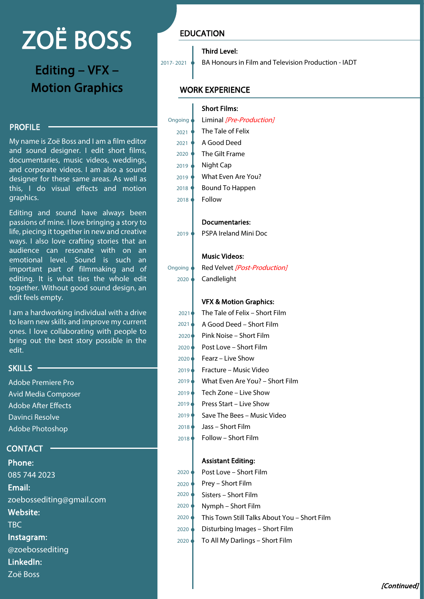# ZOË BOSS

Editing – VFX – Motion Graphics

### **PROFILE**

My name is Zoë Boss and I am a film editor and sound designer. I edit short films, documentaries, music videos, weddings, and corporate videos. I am also a sound designer for these same areas. As well as this, I do visual effects and motion graphics.

Editing and sound have always been passions of mine. I love bringing a story to life, piecing it together in new and creative ways. I also love crafting stories that an audience can resonate with on an emotional level. Sound is such an important part of filmmaking and of editing. It is what ties the whole edit together. Without good sound design, an edit feels empty.

I am a hardworking individual with a drive to learn new skills and improve my current ones. I love collaborating with people to bring out the best story possible in the edit.

## SKILLS -

Adobe Premiere Pro Avid Media Composer Adobe After Effects Davinci Resolve Adobe Photoshop

## CONTACT

Phone: 085 744 2023 Email: [zoebossediting@gmail.com](mailto:zoebossediting@gmail.com) Website: TBC Instagram: @zoebossediting LinkedIn: Zoë Boss

## EDUCATION

#### Third Level:

2017- 2021 BA Honours in Film and Television Production - IADT

## WORK EXPERIENCE

2019

2020

Ongoing

|         | <b>Short Films:</b>      |
|---------|--------------------------|
| Ongoing | Liminal [Pre-Production] |
| 2021    | The Tale of Felix        |
| 2021    | A Good Deed              |
| 2020    | The Gilt Frame           |
| 2019    | Night Cap                |
| 2019    | What Even Are You?       |
| 2018    | Bound To Happen          |
| 2018    | Follow                   |
|         |                          |

#### Documentaries:

PSPA Ireland Mini Doc

#### Music Videos:

Red Velvet [Post-Production] Candlelight

#### VFX & Motion Graphics:

| The Tale of Felix – Short Film  |
|---------------------------------|
| A Good Deed - Short Film        |
| Pink Noise – Short Film         |
| Post Love – Short Film          |
| Fearz – Live Show               |
| Fracture – Music Video          |
| What Even Are You? - Short Film |
| Tech Zone – Live Show           |
| Press Start – Live Show         |
| Save The Bees – Music Video     |
| Jass – Short Film               |
| Follow – Short Film             |
|                                 |

#### Assistant Editing:

| 2020 | Post Love - Short Film                       |
|------|----------------------------------------------|
| 2020 | Prey - Short Film                            |
| 2020 | Sisters - Short Film                         |
| 2020 | Nymph - Short Film                           |
| 2020 | This Town Still Talks About You - Short Film |
| 2020 | Disturbing Images - Short Film               |
| 2020 | To All My Darlings - Short Film              |